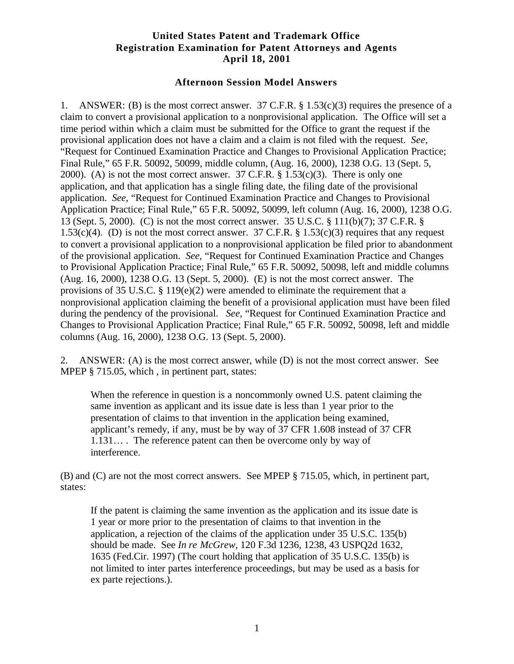## **United States Patent and Trademark Office Registration Examination for Patent Attorneys and Agents April 18, 2001**

## **Afternoon Session Model Answers**

1. ANSWER: (B) is the most correct answer. 37 C.F.R.  $\S 1.53(c)(3)$  requires the presence of a claim to convert a provisional application to a nonprovisional application. The Office will set a time period within which a claim must be submitted for the Office to grant the request if the provisional application does not have a claim and a claim is not filed with the request. *See,* "Request for Continued Examination Practice and Changes to Provisional Application Practice; Final Rule," 65 F.R. 50092, 50099, middle column, (Aug. 16, 2000), 1238 O.G. 13 (Sept. 5, 2000). (A) is not the most correct answer.  $37$  C.F.R. § 1.53(c)(3). There is only one application, and that application has a single filing date, the filing date of the provisional application. *See,* "Request for Continued Examination Practice and Changes to Provisional Application Practice; Final Rule," 65 F.R. 50092, 50099, left column (Aug. 16, 2000), 1238 O.G. 13 (Sept. 5, 2000). (C) is not the most correct answer. 35 U.S.C. § 111(b)(7); 37 C.F.R. § 1.53(c)(4). (D) is not the most correct answer. 37 C.F.R.  $\S$  1.53(c)(3) requires that any request to convert a provisional application to a nonprovisional application be filed prior to abandonment of the provisional application. *See,* "Request for Continued Examination Practice and Changes to Provisional Application Practice; Final Rule," 65 F.R. 50092, 50098, left and middle columns (Aug. 16, 2000), 1238 O.G. 13 (Sept. 5, 2000). (E) is not the most correct answer. The provisions of 35 U.S.C. § 119(e)(2) were amended to eliminate the requirement that a nonprovisional application claiming the benefit of a provisional application must have been filed during the pendency of the provisional. *See,* "Request for Continued Examination Practice and Changes to Provisional Application Practice; Final Rule," 65 F.R. 50092, 50098, left and middle columns (Aug. 16, 2000), 1238 O.G. 13 (Sept. 5, 2000).

2. ANSWER: (A) is the most correct answer, while (D) is not the most correct answer. See MPEP § 715.05, which, in pertinent part, states:

When the reference in question is a noncommonly owned U.S. patent claiming the same invention as applicant and its issue date is less than 1 year prior to the presentation of claims to that invention in the application being examined, applicant's remedy, if any, must be by way of 37 CFR 1.608 instead of 37 CFR 1.131… . The reference patent can then be overcome only by way of interference.

(B) and (C) are not the most correct answers. See MPEP § 715.05, which, in pertinent part, states:

If the patent is claiming the same invention as the application and its issue date is 1 year or more prior to the presentation of claims to that invention in the application, a rejection of the claims of the application under 35 U.S.C. 135(b) should be made. See *In re McGrew*, 120 F.3d 1236, 1238, 43 USPQ2d 1632, 1635 (Fed.Cir. 1997) (The court holding that application of 35 U.S.C. 135(b) is not limited to inter partes interference proceedings, but may be used as a basis for ex parte rejections.).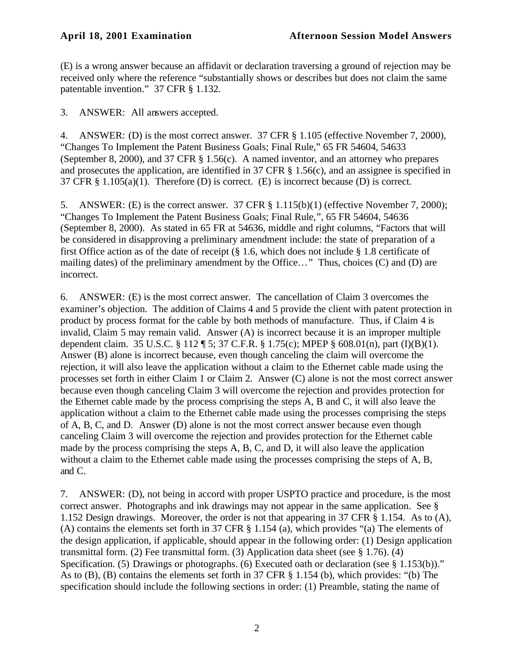(E) is a wrong answer because an affidavit or declaration traversing a ground of rejection may be received only where the reference "substantially shows or describes but does not claim the same patentable invention." 37 CFR § 1.132.

3. ANSWER: All answers accepted.

4. ANSWER: (D) is the most correct answer. 37 CFR § 1.105 (effective November 7, 2000), "Changes To Implement the Patent Business Goals; Final Rule," 65 FR 54604, 54633 (September 8, 2000), and 37 CFR § 1.56(c). A named inventor, and an attorney who prepares and prosecutes the application, are identified in 37 CFR § 1.56(c), and an assignee is specified in 37 CFR § 1.105(a)(1). Therefore (D) is correct. (E) is incorrect because (D) is correct.

5. ANSWER: (E) is the correct answer. 37 CFR § 1.115(b)(1) (effective November 7, 2000); "Changes To Implement the Patent Business Goals; Final Rule,", 65 FR 54604, 54636 (September 8, 2000). As stated in 65 FR at 54636, middle and right columns, "Factors that will be considered in disapproving a preliminary amendment include: the state of preparation of a first Office action as of the date of receipt (§ 1.6, which does not include § 1.8 certificate of mailing dates) of the preliminary amendment by the Office…" Thus, choices (C) and (D) are incorrect.

6. ANSWER: (E) is the most correct answer. The cancellation of Claim 3 overcomes the examiner's objection. The addition of Claims 4 and 5 provide the client with patent protection in product by process format for the cable by both methods of manufacture. Thus, if Claim 4 is invalid, Claim 5 may remain valid. Answer (A) is incorrect because it is an improper multiple dependent claim. 35 U.S.C. § 112 ¶ 5; 37 C.F.R. § 1.75(c); MPEP § 608.01(n), part (I)(B)(1). Answer (B) alone is incorrect because, even though canceling the claim will overcome the rejection, it will also leave the application without a claim to the Ethernet cable made using the processes set forth in either Claim 1 or Claim 2. Answer (C) alone is not the most correct answer because even though canceling Claim 3 will overcome the rejection and provides protection for the Ethernet cable made by the process comprising the steps A, B and C, it will also leave the application without a claim to the Ethernet cable made using the processes comprising the steps of A, B, C, and D. Answer (D) alone is not the most correct answer because even though canceling Claim 3 will overcome the rejection and provides protection for the Ethernet cable made by the process comprising the steps A, B, C, and D, it will also leave the application without a claim to the Ethernet cable made using the processes comprising the steps of A, B, and C.

7. ANSWER: (D), not being in accord with proper USPTO practice and procedure, is the most correct answer. Photographs and ink drawings may not appear in the same application. See § 1.152 Design drawings. Moreover, the order is not that appearing in 37 CFR § 1.154. As to (A), (A) contains the elements set forth in 37 CFR § 1.154 (a), which provides "(a) The elements of the design application, if applicable, should appear in the following order: (1) Design application transmittal form. (2) Fee transmittal form. (3) Application data sheet (see § 1.76). (4) Specification. (5) Drawings or photographs. (6) Executed oath or declaration (see § 1.153(b))." As to (B), (B) contains the elements set forth in 37 CFR § 1.154 (b), which provides: "(b) The specification should include the following sections in order: (1) Preamble, stating the name of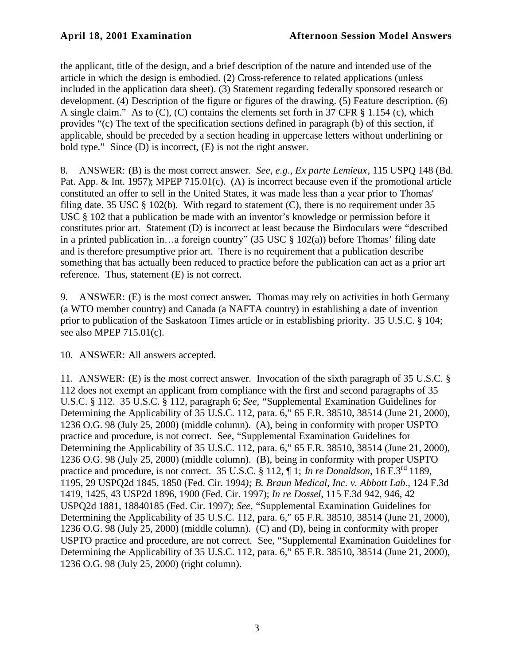the applicant, title of the design, and a brief description of the nature and intended use of the article in which the design is embodied. (2) Cross-reference to related applications (unless included in the application data sheet). (3) Statement regarding federally sponsored research or development. (4) Description of the figure or figures of the drawing. (5) Feature description. (6) A single claim." As to (C), (C) contains the elements set forth in 37 CFR § 1.154 (c), which provides "(c) The text of the specification sections defined in paragraph (b) of this section, if applicable, should be preceded by a section heading in uppercase letters without underlining or bold type." Since (D) is incorrect, (E) is not the right answer.

8. ANSWER: (B) is the most correct answer. *See, e.g*., *Ex parte Lemieux*, 115 USPQ 148 (Bd. Pat. App. & Int. 1957); MPEP 715.01(c). (A) is incorrect because even if the promotional article constituted an offer to sell in the United States, it was made less than a year prior to Thomas' filing date. 35 USC  $\S$  102(b). With regard to statement (C), there is no requirement under 35 USC § 102 that a publication be made with an inventor's knowledge or permission before it constitutes prior art. Statement (D) is incorrect at least because the Birdoculars were "described in a printed publication in…a foreign country" (35 USC § 102(a)) before Thomas' filing date and is therefore presumptive prior art. There is no requirement that a publication describe something that has actually been reduced to practice before the publication can act as a prior art reference. Thus, statement (E) is not correct.

9. ANSWER: (E) is the most correct answer**.** Thomas may rely on activities in both Germany (a WTO member country) and Canada (a NAFTA country) in establishing a date of invention prior to publication of the Saskatoon Times article or in establishing priority. 35 U.S.C. § 104; see also MPEP 715.01(c).

10. ANSWER: All answers accepted.

11. ANSWER: (E) is the most correct answer. Invocation of the sixth paragraph of 35 U.S.C. § 112 does not exempt an applicant from compliance with the first and second paragraphs of 35 U.S.C. § 112. 35 U.S.C. § 112, paragraph 6; *See,* "Supplemental Examination Guidelines for Determining the Applicability of 35 U.S.C. 112, para. 6," 65 F.R. 38510, 38514 (June 21, 2000), 1236 O.G. 98 (July 25, 2000) (middle column). (A), being in conformity with proper USPTO practice and procedure, is not correct. See, "Supplemental Examination Guidelines for Determining the Applicability of 35 U.S.C. 112, para. 6," 65 F.R. 38510, 38514 (June 21, 2000), 1236 O.G. 98 (July 25, 2000) (middle column). (B), being in conformity with proper USPTO practice and procedure, is not correct. 35 U.S.C. § 112, ¶ 1; *In re Donaldson*, 16 F.3rd 1189, 1195, 29 USPQ2d 1845, 1850 (Fed. Cir. 1994*); B. Braun Medical, Inc. v. Abbott Lab.*, 124 F.3d 1419, 1425, 43 USP2d 1896, 1900 (Fed. Cir. 1997); *In re Dossel*, 115 F.3d 942, 946, 42 USPQ2d 1881, 18840185 (Fed. Cir. 1997); *See*, "Supplemental Examination Guidelines for Determining the Applicability of 35 U.S.C. 112, para. 6," 65 F.R. 38510, 38514 (June 21, 2000), 1236 O.G. 98 (July 25, 2000) (middle column). (C) and (D), being in conformity with proper USPTO practice and procedure, are not correct. See, "Supplemental Examination Guidelines for Determining the Applicability of 35 U.S.C. 112, para. 6," 65 F.R. 38510, 38514 (June 21, 2000), 1236 O.G. 98 (July 25, 2000) (right column).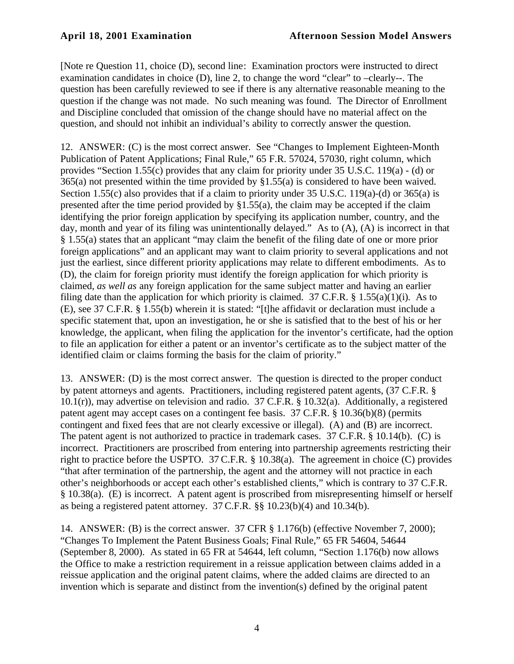[Note re Question 11, choice (D), second line: Examination proctors were instructed to direct examination candidates in choice (D), line 2, to change the word "clear" to –clearly--. The question has been carefully reviewed to see if there is any alternative reasonable meaning to the question if the change was not made. No such meaning was found. The Director of Enrollment and Discipline concluded that omission of the change should have no material affect on the question, and should not inhibit an individual's ability to correctly answer the question.

12. ANSWER: (C) is the most correct answer. See "Changes to Implement Eighteen-Month Publication of Patent Applications; Final Rule," 65 F.R. 57024, 57030, right column, which provides "Section 1.55(c) provides that any claim for priority under 35 U.S.C. 119(a) - (d) or 365(a) not presented within the time provided by §1.55(a) is considered to have been waived. Section 1.55(c) also provides that if a claim to priority under 35 U.S.C. 119(a)-(d) or 365(a) is presented after the time period provided by §1.55(a), the claim may be accepted if the claim identifying the prior foreign application by specifying its application number, country, and the day, month and year of its filing was unintentionally delayed." As to (A), (A) is incorrect in that § 1.55(a) states that an applicant "may claim the benefit of the filing date of one or more prior foreign applications" and an applicant may want to claim priority to several applications and not just the earliest, since different priority applications may relate to different embodiments. As to (D), the claim for foreign priority must identify the foreign application for which priority is claimed, *as well as* any foreign application for the same subject matter and having an earlier filing date than the application for which priority is claimed. 37 C.F.R.  $\S$  1.55(a)(1)(i). As to (E), see 37 C.F.R. § 1.55(b) wherein it is stated: "[t]he affidavit or declaration must include a specific statement that, upon an investigation, he or she is satisfied that to the best of his or her knowledge, the applicant, when filing the application for the inventor's certificate, had the option to file an application for either a patent or an inventor's certificate as to the subject matter of the identified claim or claims forming the basis for the claim of priority."

13. ANSWER: (D) is the most correct answer. The question is directed to the proper conduct by patent attorneys and agents. Practitioners, including registered patent agents, (37 C.F.R. § 10.1(r)), may advertise on television and radio. 37 C.F.R. § 10.32(a). Additionally, a registered patent agent may accept cases on a contingent fee basis. 37 C.F.R. § 10.36(b)(8) (permits contingent and fixed fees that are not clearly excessive or illegal). (A) and (B) are incorrect. The patent agent is not authorized to practice in trademark cases. 37 C.F.R. § 10.14(b). (C) is incorrect. Practitioners are proscribed from entering into partnership agreements restricting their right to practice before the USPTO. 37 C.F.R. § 10.38(a). The agreement in choice (C) provides "that after termination of the partnership, the agent and the attorney will not practice in each other's neighborhoods or accept each other's established clients," which is contrary to 37 C.F.R. § 10.38(a). (E) is incorrect. A patent agent is proscribed from misrepresenting himself or herself as being a registered patent attorney. 37 C.F.R. §§ 10.23(b)(4) and 10.34(b).

14. ANSWER: (B) is the correct answer. 37 CFR § 1.176(b) (effective November 7, 2000); "Changes To Implement the Patent Business Goals; Final Rule," 65 FR 54604, 54644 (September 8, 2000). As stated in 65 FR at 54644, left column, "Section 1.176(b) now allows the Office to make a restriction requirement in a reissue application between claims added in a reissue application and the original patent claims, where the added claims are directed to an invention which is separate and distinct from the invention(s) defined by the original patent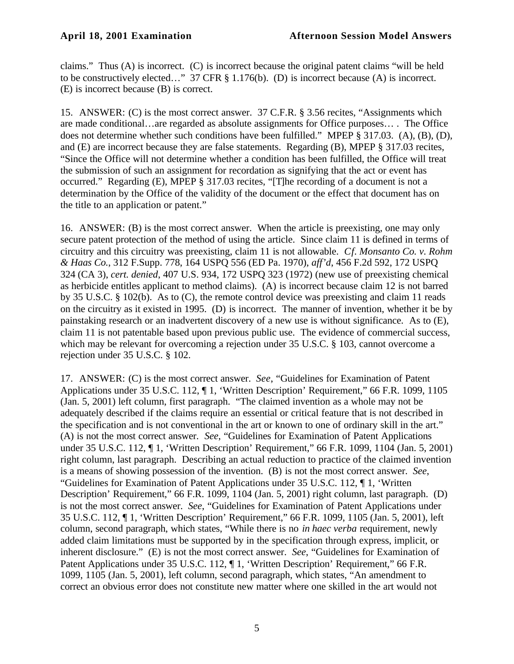claims." Thus (A) is incorrect. (C) is incorrect because the original patent claims "will be held to be constructively elected…" 37 CFR § 1.176(b). (D) is incorrect because (A) is incorrect. (E) is incorrect because (B) is correct.

15. ANSWER: (C) is the most correct answer. 37 C.F.R. § 3.56 recites, "Assignments which are made conditional…are regarded as absolute assignments for Office purposes… . The Office does not determine whether such conditions have been fulfilled." MPEP § 317.03. (A), (B), (D), and (E) are incorrect because they are false statements. Regarding (B), MPEP § 317.03 recites, "Since the Office will not determine whether a condition has been fulfilled, the Office will treat the submission of such an assignment for recordation as signifying that the act or event has occurred." Regarding (E), MPEP § 317.03 recites, "[T]he recording of a document is not a determination by the Office of the validity of the document or the effect that document has on the title to an application or patent."

16. ANSWER: (B) is the most correct answer. When the article is preexisting, one may only secure patent protection of the method of using the article. Since claim 11 is defined in terms of circuitry and this circuitry was preexisting, claim 11 is not allowable. *Cf. Monsanto Co. v. Rohm & Haas Co.*, 312 F.Supp. 778, 164 USPQ 556 (ED Pa. 1970), *aff'd*, 456 F.2d 592, 172 USPQ 324 (CA 3), *cert. denied*, 407 U.S. 934, 172 USPQ 323 (1972) (new use of preexisting chemical as herbicide entitles applicant to method claims). (A) is incorrect because claim 12 is not barred by 35 U.S.C. § 102(b). As to (C), the remote control device was preexisting and claim 11 reads on the circuitry as it existed in 1995. (D) is incorrect. The manner of invention, whether it be by painstaking research or an inadvertent discovery of a new use is without significance. As to (E), claim 11 is not patentable based upon previous public use. The evidence of commercial success, which may be relevant for overcoming a rejection under 35 U.S.C. § 103, cannot overcome a rejection under 35 U.S.C. § 102.

17. ANSWER: (C) is the most correct answer. *See*, "Guidelines for Examination of Patent Applications under 35 U.S.C. 112, ¶ 1, 'Written Description' Requirement," 66 F.R. 1099, 1105 (Jan. 5, 2001) left column, first paragraph. "The claimed invention as a whole may not be adequately described if the claims require an essential or critical feature that is not described in the specification and is not conventional in the art or known to one of ordinary skill in the art." (A) is not the most correct answer. *See*, "Guidelines for Examination of Patent Applications under 35 U.S.C. 112, ¶ 1, 'Written Description' Requirement," 66 F.R. 1099, 1104 (Jan. 5, 2001) right column, last paragraph. Describing an actual reduction to practice of the claimed invention is a means of showing possession of the invention. (B) is not the most correct answer. *See*, "Guidelines for Examination of Patent Applications under 35 U.S.C. 112, ¶ 1, 'Written Description' Requirement," 66 F.R. 1099, 1104 (Jan. 5, 2001) right column, last paragraph. (D) is not the most correct answer. *See*, "Guidelines for Examination of Patent Applications under 35 U.S.C. 112, ¶ 1, 'Written Description' Requirement," 66 F.R. 1099, 1105 (Jan. 5, 2001), left column, second paragraph, which states, "While there is no *in haec verba* requirement, newly added claim limitations must be supported by in the specification through express, implicit, or inherent disclosure." (E) is not the most correct answer. *See*, "Guidelines for Examination of Patent Applications under 35 U.S.C. 112,  $\P$  1, 'Written Description' Requirement," 66 F.R. 1099, 1105 (Jan. 5, 2001), left column, second paragraph, which states, "An amendment to correct an obvious error does not constitute new matter where one skilled in the art would not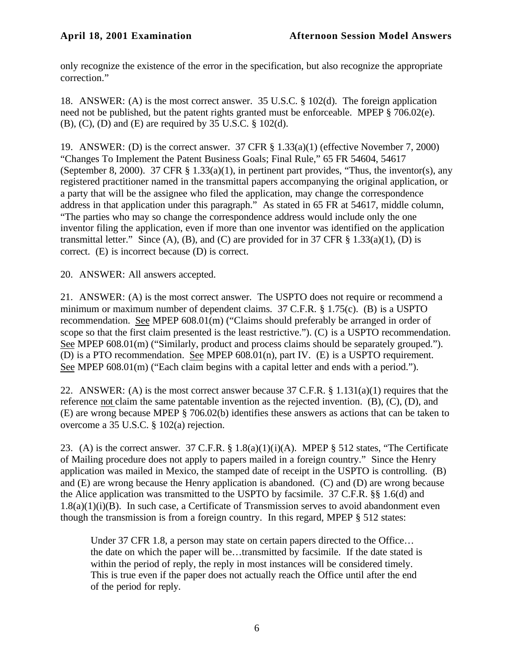only recognize the existence of the error in the specification, but also recognize the appropriate correction."

18. ANSWER: (A) is the most correct answer. 35 U.S.C. § 102(d). The foreign application need not be published, but the patent rights granted must be enforceable. MPEP § 706.02(e). (B), (C), (D) and (E) are required by 35 U.S.C. § 102(d).

19. ANSWER: (D) is the correct answer. 37 CFR § 1.33(a)(1) (effective November 7, 2000) "Changes To Implement the Patent Business Goals; Final Rule," 65 FR 54604, 54617 (September 8, 2000). 37 CFR  $\S$  1.33(a)(1), in pertinent part provides, "Thus, the inventor(s), any registered practitioner named in the transmittal papers accompanying the original application, or a party that will be the assignee who filed the application, may change the correspondence address in that application under this paragraph." As stated in 65 FR at 54617, middle column, "The parties who may so change the correspondence address would include only the one inventor filing the application, even if more than one inventor was identified on the application transmittal letter." Since (A), (B), and (C) are provided for in 37 CFR  $\S$  1.33(a)(1), (D) is correct. (E) is incorrect because (D) is correct.

20. ANSWER: All answers accepted.

21. ANSWER: (A) is the most correct answer. The USPTO does not require or recommend a minimum or maximum number of dependent claims. 37 C.F.R. § 1.75(c). (B) is a USPTO recommendation. See MPEP 608.01(m) ("Claims should preferably be arranged in order of scope so that the first claim presented is the least restrictive."). (C) is a USPTO recommendation. See MPEP 608.01(m) ("Similarly, product and process claims should be separately grouped."). (D) is a PTO recommendation. See MPEP 608.01(n), part IV. (E) is a USPTO requirement. See MPEP 608.01(m) ("Each claim begins with a capital letter and ends with a period.").

22. ANSWER: (A) is the most correct answer because 37 C.F.R. § 1.131(a)(1) requires that the reference not claim the same patentable invention as the rejected invention. (B), (C), (D), and (E) are wrong because MPEP § 706.02(b) identifies these answers as actions that can be taken to overcome a 35 U.S.C. § 102(a) rejection.

23. (A) is the correct answer.  $37$  C.F.R.  $\S$  1.8(a)(1)(i)(A). MPEP  $\S$  512 states, "The Certificate of Mailing procedure does not apply to papers mailed in a foreign country." Since the Henry application was mailed in Mexico, the stamped date of receipt in the USPTO is controlling. (B) and (E) are wrong because the Henry application is abandoned. (C) and (D) are wrong because the Alice application was transmitted to the USPTO by facsimile. 37 C.F.R. §§ 1.6(d) and  $1.8(a)(1)(i)(B)$ . In such case, a Certificate of Transmission serves to avoid abandonment even though the transmission is from a foreign country. In this regard, MPEP § 512 states:

Under 37 CFR 1.8, a person may state on certain papers directed to the Office... the date on which the paper will be…transmitted by facsimile. If the date stated is within the period of reply, the reply in most instances will be considered timely. This is true even if the paper does not actually reach the Office until after the end of the period for reply.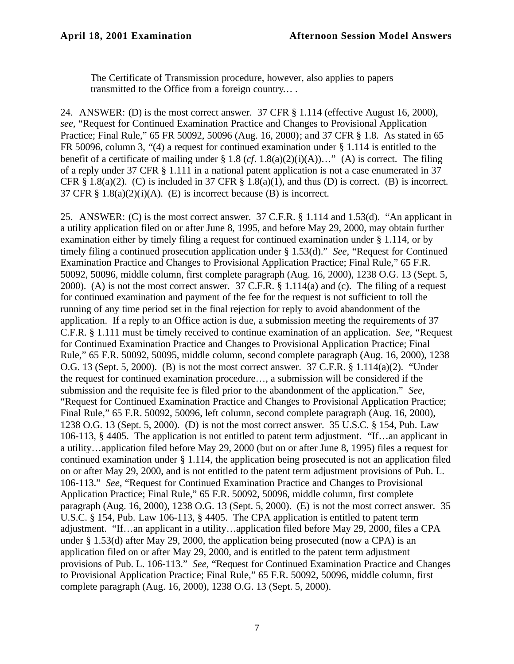The Certificate of Transmission procedure, however, also applies to papers transmitted to the Office from a foreign country… .

24. ANSWER: (D) is the most correct answer. 37 CFR § 1.114 (effective August 16, 2000), *see,* "Request for Continued Examination Practice and Changes to Provisional Application Practice; Final Rule," 65 FR 50092, 50096 (Aug. 16, 2000); and 37 CFR § 1.8. As stated in 65 FR 50096, column 3, "(4) a request for continued examination under § 1.114 is entitled to the benefit of a certificate of mailing under § 1.8 (*cf*. 1.8(a)(2)(i)(A))…" (A) is correct. The filing of a reply under 37 CFR § 1.111 in a national patent application is not a case enumerated in 37 CFR  $\S$  1.8(a)(2). (C) is included in 37 CFR  $\S$  1.8(a)(1), and thus (D) is correct. (B) is incorrect. 37 CFR  $\S 1.8(a)(2)(i)(A)$ . (E) is incorrect because (B) is incorrect.

25. ANSWER: (C) is the most correct answer. 37 C.F.R. § 1.114 and 1.53(d). "An applicant in a utility application filed on or after June 8, 1995, and before May 29, 2000, may obtain further examination either by timely filing a request for continued examination under § 1.114, or by timely filing a continued prosecution application under § 1.53(d)." *See,* "Request for Continued Examination Practice and Changes to Provisional Application Practice; Final Rule," 65 F.R. 50092, 50096, middle column, first complete paragraph (Aug. 16, 2000), 1238 O.G. 13 (Sept. 5, 2000). (A) is not the most correct answer. 37 C.F.R. § 1.114(a) and (c). The filing of a request for continued examination and payment of the fee for the request is not sufficient to toll the running of any time period set in the final rejection for reply to avoid abandonment of the application. If a reply to an Office action is due, a submission meeting the requirements of 37 C.F.R. § 1.111 must be timely received to continue examination of an application. *See,* "Request for Continued Examination Practice and Changes to Provisional Application Practice; Final Rule," 65 F.R. 50092, 50095, middle column, second complete paragraph (Aug. 16, 2000), 1238 O.G. 13 (Sept. 5, 2000). (B) is not the most correct answer. 37 C.F.R. § 1.114(a)(2). "Under the request for continued examination procedure…, a submission will be considered if the submission and the requisite fee is filed prior to the abandonment of the application." *See,* "Request for Continued Examination Practice and Changes to Provisional Application Practice; Final Rule," 65 F.R. 50092, 50096, left column, second complete paragraph (Aug. 16, 2000), 1238 O.G. 13 (Sept. 5, 2000). (D) is not the most correct answer. 35 U.S.C. § 154, Pub. Law 106-113, § 4405. The application is not entitled to patent term adjustment. "If…an applicant in a utility…application filed before May 29, 2000 (but on or after June 8, 1995) files a request for continued examination under § 1.114, the application being prosecuted is not an application filed on or after May 29, 2000, and is not entitled to the patent term adjustment provisions of Pub. L. 106-113." *See,* "Request for Continued Examination Practice and Changes to Provisional Application Practice; Final Rule," 65 F.R. 50092, 50096, middle column, first complete paragraph (Aug. 16, 2000), 1238 O.G. 13 (Sept. 5, 2000). (E) is not the most correct answer. 35 U.S.C. § 154, Pub. Law 106-113, § 4405. The CPA application is entitled to patent term adjustment. "If…an applicant in a utility…application filed before May 29, 2000, files a CPA under § 1.53(d) after May 29, 2000, the application being prosecuted (now a CPA) is an application filed on or after May 29, 2000, and is entitled to the patent term adjustment provisions of Pub. L. 106-113." *See,* "Request for Continued Examination Practice and Changes to Provisional Application Practice; Final Rule," 65 F.R. 50092, 50096, middle column, first complete paragraph (Aug. 16, 2000), 1238 O.G. 13 (Sept. 5, 2000).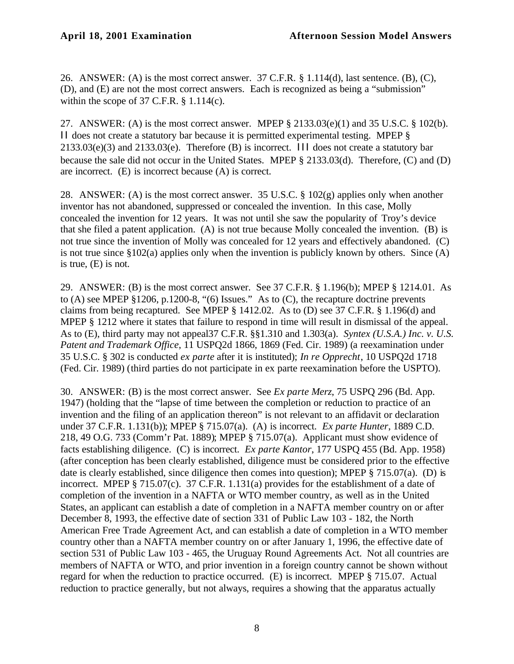26. ANSWER: (A) is the most correct answer. 37 C.F.R. § 1.114(d), last sentence. (B), (C), (D), and (E) are not the most correct answers. Each is recognized as being a "submission" within the scope of 37 C.F.R.  $\S$  1.114(c).

27. ANSWER: (A) is the most correct answer. MPEP § 2133.03(e)(1) and 35 U.S.C. § 102(b). II does not create a statutory bar because it is permitted experimental testing. MPEP §  $2133.03(e)(3)$  and  $2133.03(e)$ . Therefore (B) is incorrect. III does not create a statutory bar because the sale did not occur in the United States. MPEP § 2133.03(d). Therefore, (C) and (D) are incorrect. (E) is incorrect because (A) is correct.

28. ANSWER: (A) is the most correct answer. 35 U.S.C. § 102(g) applies only when another inventor has not abandoned, suppressed or concealed the invention. In this case, Molly concealed the invention for 12 years. It was not until she saw the popularity of Troy's device that she filed a patent application. (A) is not true because Molly concealed the invention. (B) is not true since the invention of Molly was concealed for 12 years and effectively abandoned. (C) is not true since §102(a) applies only when the invention is publicly known by others. Since (A) is true, (E) is not.

29. ANSWER: (B) is the most correct answer. See 37 C.F.R. § 1.196(b); MPEP § 1214.01. As to (A) see MPEP §1206, p.1200-8, "(6) Issues." As to (C), the recapture doctrine prevents claims from being recaptured. See MPEP § 1412.02. As to (D) see 37 C.F.R. § 1.196(d) and MPEP § 1212 where it states that failure to respond in time will result in dismissal of the appeal. As to (E), third party may not appeal37 C.F.R. §§1.310 and 1.303(a). *Syntex (U.S.A.) Inc. v. U.S. Patent and Trademark Office*, 11 USPQ2d 1866, 1869 (Fed. Cir. 1989) (a reexamination under 35 U.S.C. § 302 is conducted *ex parte* after it is instituted); *In re Opprecht*, 10 USPQ2d 1718 (Fed. Cir. 1989) (third parties do not participate in ex parte reexamination before the USPTO).

30. ANSWER: (B) is the most correct answer. See *Ex parte Merz*, 75 USPQ 296 (Bd. App. 1947) (holding that the "lapse of time between the completion or reduction to practice of an invention and the filing of an application thereon" is not relevant to an affidavit or declaration under 37 C.F.R. 1.131(b)); MPEP § 715.07(a). (A) is incorrect. *Ex parte Hunter*, 1889 C.D. 218, 49 O.G. 733 (Comm'r Pat. 1889); MPEP § 715.07(a). Applicant must show evidence of facts establishing diligence. (C) is incorrect. *Ex parte Kantor*, 177 USPQ 455 (Bd. App. 1958) (after conception has been clearly established, diligence must be considered prior to the effective date is clearly established, since diligence then comes into question); MPEP § 715.07(a). (D) is incorrect. MPEP § 715.07(c). 37 C.F.R. 1.131(a) provides for the establishment of a date of completion of the invention in a NAFTA or WTO member country, as well as in the United States, an applicant can establish a date of completion in a NAFTA member country on or after December 8, 1993, the effective date of section 331 of Public Law 103 - 182, the North American Free Trade Agreement Act, and can establish a date of completion in a WTO member country other than a NAFTA member country on or after January 1, 1996, the effective date of section 531 of Public Law 103 - 465, the Uruguay Round Agreements Act. Not all countries are members of NAFTA or WTO, and prior invention in a foreign country cannot be shown without regard for when the reduction to practice occurred. (E) is incorrect. MPEP § 715.07. Actual reduction to practice generally, but not always, requires a showing that the apparatus actually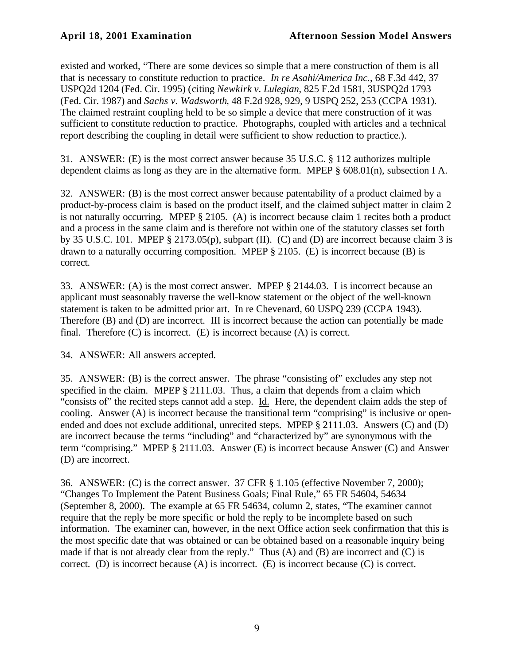existed and worked, "There are some devices so simple that a mere construction of them is all that is necessary to constitute reduction to practice. *In re Asahi/America Inc.*, 68 F.3d 442, 37 USPQ2d 1204 (Fed. Cir. 1995) (citing *Newkirk v. Lulegian*, 825 F.2d 1581, 3USPQ2d 1793 (Fed. Cir. 1987) and *Sachs v. Wadsworth*, 48 F.2d 928, 929, 9 USPQ 252, 253 (CCPA 1931). The claimed restraint coupling held to be so simple a device that mere construction of it was sufficient to constitute reduction to practice. Photographs, coupled with articles and a technical report describing the coupling in detail were sufficient to show reduction to practice.).

31. ANSWER: (E) is the most correct answer because 35 U.S.C. § 112 authorizes multiple dependent claims as long as they are in the alternative form. MPEP § 608.01(n), subsection I A.

32. ANSWER: (B) is the most correct answer because patentability of a product claimed by a product-by-process claim is based on the product itself, and the claimed subject matter in claim 2 is not naturally occurring. MPEP § 2105. (A) is incorrect because claim 1 recites both a product and a process in the same claim and is therefore not within one of the statutory classes set forth by 35 U.S.C. 101. MPEP § 2173.05(p), subpart (II). (C) and (D) are incorrect because claim 3 is drawn to a naturally occurring composition. MPEP § 2105. (E) is incorrect because (B) is correct.

33. ANSWER: (A) is the most correct answer. MPEP § 2144.03. I is incorrect because an applicant must seasonably traverse the well-know statement or the object of the well-known statement is taken to be admitted prior art. In re Chevenard, 60 USPQ 239 (CCPA 1943). Therefore (B) and (D) are incorrect. III is incorrect because the action can potentially be made final. Therefore (C) is incorrect. (E) is incorrect because (A) is correct.

34. ANSWER: All answers accepted.

35. ANSWER: (B) is the correct answer. The phrase "consisting of" excludes any step not specified in the claim. MPEP § 2111.03. Thus, a claim that depends from a claim which "consists of" the recited steps cannot add a step. Id. Here, the dependent claim adds the step of cooling. Answer (A) is incorrect because the transitional term "comprising" is inclusive or openended and does not exclude additional, unrecited steps. MPEP § 2111.03. Answers (C) and (D) are incorrect because the terms "including" and "characterized by" are synonymous with the term "comprising." MPEP § 2111.03. Answer (E) is incorrect because Answer (C) and Answer (D) are incorrect.

36. ANSWER: (C) is the correct answer. 37 CFR § 1.105 (effective November 7, 2000); "Changes To Implement the Patent Business Goals; Final Rule," 65 FR 54604, 54634 (September 8, 2000). The example at 65 FR 54634, column 2, states, "The examiner cannot require that the reply be more specific or hold the reply to be incomplete based on such information. The examiner can, however, in the next Office action seek confirmation that this is the most specific date that was obtained or can be obtained based on a reasonable inquiry being made if that is not already clear from the reply." Thus (A) and (B) are incorrect and (C) is correct. (D) is incorrect because (A) is incorrect. (E) is incorrect because (C) is correct.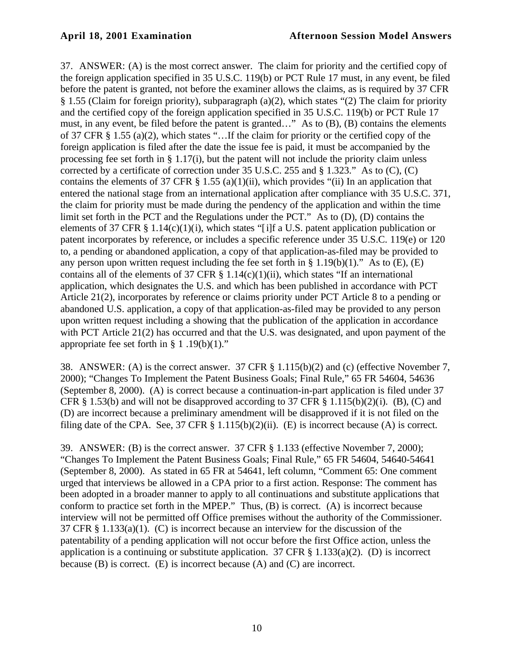37. ANSWER: (A) is the most correct answer. The claim for priority and the certified copy of the foreign application specified in 35 U.S.C. 119(b) or PCT Rule 17 must, in any event, be filed before the patent is granted, not before the examiner allows the claims, as is required by 37 CFR § 1.55 (Claim for foreign priority), subparagraph (a)(2), which states "(2) The claim for priority and the certified copy of the foreign application specified in 35 U.S.C. 119(b) or PCT Rule 17 must, in any event, be filed before the patent is granted…" As to (B), (B) contains the elements of 37 CFR § 1.55 (a)(2), which states "…If the claim for priority or the certified copy of the foreign application is filed after the date the issue fee is paid, it must be accompanied by the processing fee set forth in  $\S 1.17(i)$ , but the patent will not include the priority claim unless corrected by a certificate of correction under 35 U.S.C. 255 and § 1.323." As to (C), (C) contains the elements of 37 CFR  $\S$  1.55 (a)(1)(ii), which provides "(ii) In an application that entered the national stage from an international application after compliance with 35 U.S.C. 371, the claim for priority must be made during the pendency of the application and within the time limit set forth in the PCT and the Regulations under the PCT." As to (D), (D) contains the elements of 37 CFR § 1.14(c)(1)(i), which states "[i]f a U.S. patent application publication or patent incorporates by reference, or includes a specific reference under 35 U.S.C. 119(e) or 120 to, a pending or abandoned application, a copy of that application-as-filed may be provided to any person upon written request including the fee set forth in  $\S 1.19(b)(1)$ ." As to (E), (E) contains all of the elements of 37 CFR  $\S$  1.14(c)(1)(ii), which states "If an international application, which designates the U.S. and which has been published in accordance with PCT Article 21(2), incorporates by reference or claims priority under PCT Article 8 to a pending or abandoned U.S. application, a copy of that application-as-filed may be provided to any person upon written request including a showing that the publication of the application in accordance with PCT Article 21(2) has occurred and that the U.S. was designated, and upon payment of the appropriate fee set forth in § 1 .19(b)(1)."

38. ANSWER: (A) is the correct answer. 37 CFR § 1.115(b)(2) and (c) (effective November 7, 2000); "Changes To Implement the Patent Business Goals; Final Rule," 65 FR 54604, 54636 (September 8, 2000). (A) is correct because a continuation-in-part application is filed under 37 CFR  $\S$  1.53(b) and will not be disapproved according to 37 CFR  $\S$  1.115(b)(2)(i). (B), (C) and (D) are incorrect because a preliminary amendment will be disapproved if it is not filed on the filing date of the CPA. See, 37 CFR § 1.115(b)(2)(ii). (E) is incorrect because (A) is correct.

39. ANSWER: (B) is the correct answer. 37 CFR § 1.133 (effective November 7, 2000); "Changes To Implement the Patent Business Goals; Final Rule," 65 FR 54604, 54640-54641 (September 8, 2000). As stated in 65 FR at 54641, left column, "Comment 65: One comment urged that interviews be allowed in a CPA prior to a first action. Response: The comment has been adopted in a broader manner to apply to all continuations and substitute applications that conform to practice set forth in the MPEP." Thus, (B) is correct. (A) is incorrect because interview will not be permitted off Office premises without the authority of the Commissioner. 37 CFR § 1.133(a)(1). (C) is incorrect because an interview for the discussion of the patentability of a pending application will not occur before the first Office action, unless the application is a continuing or substitute application. 37 CFR  $\S$  1.133(a)(2). (D) is incorrect because (B) is correct. (E) is incorrect because (A) and (C) are incorrect.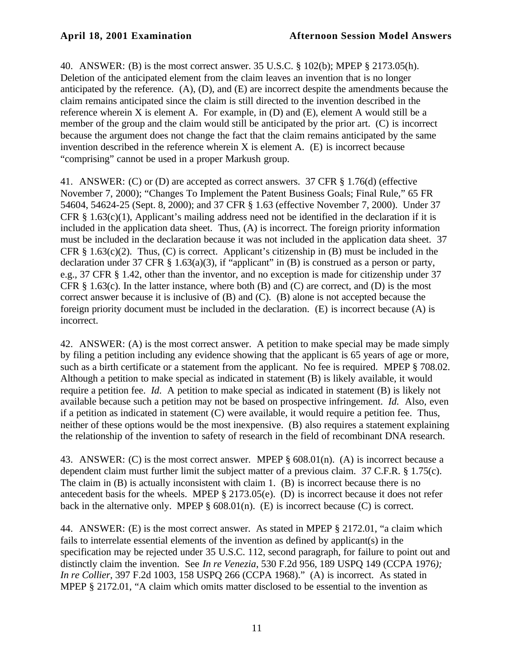40. ANSWER: (B) is the most correct answer. 35 U.S.C. § 102(b); MPEP § 2173.05(h). Deletion of the anticipated element from the claim leaves an invention that is no longer anticipated by the reference. (A), (D), and (E) are incorrect despite the amendments because the claim remains anticipated since the claim is still directed to the invention described in the reference wherein X is element A. For example, in (D) and (E), element A would still be a member of the group and the claim would still be anticipated by the prior art. (C) is incorrect because the argument does not change the fact that the claim remains anticipated by the same invention described in the reference wherein X is element A. (E) is incorrect because "comprising" cannot be used in a proper Markush group.

41. ANSWER: (C) or (D) are accepted as correct answers. 37 CFR § 1.76(d) (effective November 7, 2000); "Changes To Implement the Patent Business Goals; Final Rule," 65 FR 54604, 54624-25 (Sept. 8, 2000); and 37 CFR § 1.63 (effective November 7, 2000). Under 37 CFR  $\S$  1.63(c)(1), Applicant's mailing address need not be identified in the declaration if it is included in the application data sheet. Thus, (A) is incorrect. The foreign priority information must be included in the declaration because it was not included in the application data sheet. 37 CFR  $\S$  1.63(c)(2). Thus, (C) is correct. Applicant's citizenship in (B) must be included in the declaration under 37 CFR § 1.63(a)(3), if "applicant" in (B) is construed as a person or party, e.g., 37 CFR § 1.42, other than the inventor, and no exception is made for citizenship under 37 CFR  $\S$  1.63(c). In the latter instance, where both (B) and (C) are correct, and (D) is the most correct answer because it is inclusive of (B) and (C). (B) alone is not accepted because the foreign priority document must be included in the declaration. (E) is incorrect because (A) is incorrect.

42. ANSWER: (A) is the most correct answer. A petition to make special may be made simply by filing a petition including any evidence showing that the applicant is 65 years of age or more, such as a birth certificate or a statement from the applicant. No fee is required. MPEP § 708.02. Although a petition to make special as indicated in statement (B) is likely available, it would require a petition fee. *Id*. A petition to make special as indicated in statement (B) is likely not available because such a petition may not be based on prospective infringement. *Id*. Also, even if a petition as indicated in statement (C) were available, it would require a petition fee. Thus, neither of these options would be the most inexpensive. (B) also requires a statement explaining the relationship of the invention to safety of research in the field of recombinant DNA research.

43. ANSWER: (C) is the most correct answer. MPEP § 608.01(n). (A) is incorrect because a dependent claim must further limit the subject matter of a previous claim. 37 C.F.R. § 1.75(c). The claim in (B) is actually inconsistent with claim 1. (B) is incorrect because there is no antecedent basis for the wheels. MPEP § 2173.05(e). (D) is incorrect because it does not refer back in the alternative only. MPEP  $\S$  608.01(n). (E) is incorrect because (C) is correct.

44. ANSWER: (E) is the most correct answer. As stated in MPEP § 2172.01, "a claim which fails to interrelate essential elements of the invention as defined by applicant(s) in the specification may be rejected under 35 U.S.C. 112, second paragraph, for failure to point out and distinctly claim the invention. See *In re Venezia*, 530 F.2d 956, 189 USPQ 149 (CCPA 1976*); In re Collier*, 397 F.2d 1003, 158 USPQ 266 (CCPA 1968)." (A) is incorrect. As stated in MPEP § 2172.01, "A claim which omits matter disclosed to be essential to the invention as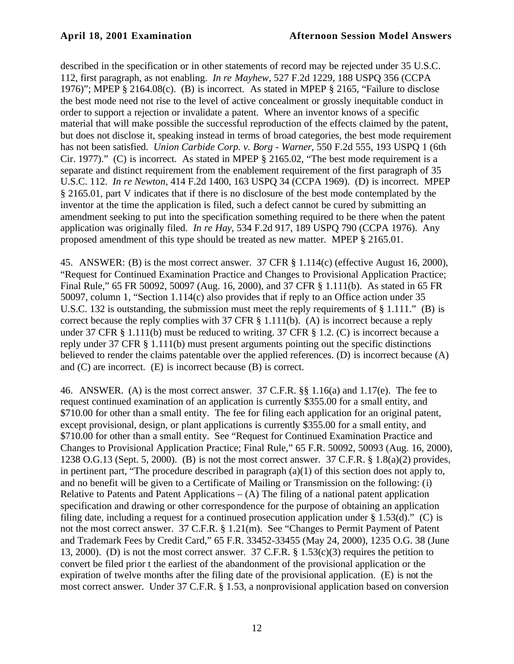described in the specification or in other statements of record may be rejected under 35 U.S.C. 112, first paragraph, as not enabling. *In re Mayhew*, 527 F.2d 1229, 188 USPQ 356 (CCPA 1976)"; MPEP § 2164.08(c). (B) is incorrect. As stated in MPEP § 2165, "Failure to disclose the best mode need not rise to the level of active concealment or grossly inequitable conduct in order to support a rejection or invalidate a patent. Where an inventor knows of a specific material that will make possible the successful reproduction of the effects claimed by the patent, but does not disclose it, speaking instead in terms of broad categories, the best mode requirement has not been satisfied. *Union Carbide Corp. v. Borg - Warner*, 550 F.2d 555, 193 USPQ 1 (6th Cir. 1977)." (C) is incorrect. As stated in MPEP § 2165.02, "The best mode requirement is a separate and distinct requirement from the enablement requirement of the first paragraph of 35 U.S.C. 112. *In re Newton*, 414 F.2d 1400, 163 USPQ 34 (CCPA 1969). (D) is incorrect. MPEP § 2165.01, part V indicates that if there is no disclosure of the best mode contemplated by the inventor at the time the application is filed, such a defect cannot be cured by submitting an amendment seeking to put into the specification something required to be there when the patent application was originally filed. *In re Hay*, 534 F.2d 917, 189 USPQ 790 (CCPA 1976). Any proposed amendment of this type should be treated as new matter. MPEP § 2165.01.

45. ANSWER: (B) is the most correct answer. 37 CFR § 1.114(c) (effective August 16, 2000), "Request for Continued Examination Practice and Changes to Provisional Application Practice; Final Rule," 65 FR 50092, 50097 (Aug. 16, 2000), and 37 CFR § 1.111(b). As stated in 65 FR 50097, column 1, "Section 1.114(c) also provides that if reply to an Office action under 35 U.S.C. 132 is outstanding, the submission must meet the reply requirements of § 1.111." (B) is correct because the reply complies with 37 CFR  $\S$  1.111(b). (A) is incorrect because a reply under 37 CFR § 1.111(b) must be reduced to writing. 37 CFR § 1.2. (C) is incorrect because a reply under 37 CFR § 1.111(b) must present arguments pointing out the specific distinctions believed to render the claims patentable over the applied references. (D) is incorrect because (A) and (C) are incorrect. (E) is incorrect because (B) is correct.

46. ANSWER. (A) is the most correct answer. 37 C.F.R. §§ 1.16(a) and 1.17(e). The fee to request continued examination of an application is currently \$355.00 for a small entity, and \$710.00 for other than a small entity. The fee for filing each application for an original patent, except provisional, design, or plant applications is currently \$355.00 for a small entity, and \$710.00 for other than a small entity. See "Request for Continued Examination Practice and Changes to Provisional Application Practice; Final Rule," 65 F.R. 50092, 50093 (Aug. 16, 2000), 1238 O.G.13 (Sept. 5, 2000). (B) is not the most correct answer. 37 C.F.R. § 1.8(a)(2) provides, in pertinent part, "The procedure described in paragraph (a)(1) of this section does not apply to, and no benefit will be given to a Certificate of Mailing or Transmission on the following: (i) Relative to Patents and Patent Applications  $- (A)$  The filing of a national patent application specification and drawing or other correspondence for the purpose of obtaining an application filing date, including a request for a continued prosecution application under  $\S 1.53(d)$ ." (C) is not the most correct answer. 37 C.F.R. § 1.21(m). See "Changes to Permit Payment of Patent and Trademark Fees by Credit Card," 65 F.R. 33452-33455 (May 24, 2000), 1235 O.G. 38 (June 13, 2000). (D) is not the most correct answer. 37 C.F.R.  $\S 1.53(c)(3)$  requires the petition to convert be filed prior t the earliest of the abandonment of the provisional application or the expiration of twelve months after the filing date of the provisional application. (E) is not the most correct answer. Under 37 C.F.R. § 1.53, a nonprovisional application based on conversion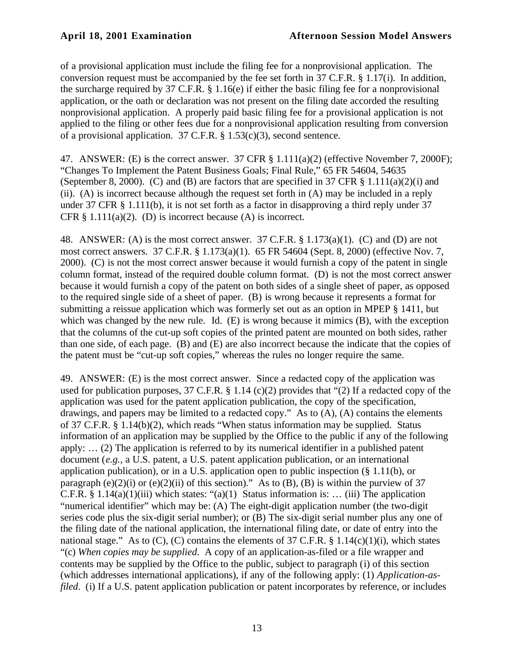of a provisional application must include the filing fee for a nonprovisional application. The conversion request must be accompanied by the fee set forth in 37 C.F.R. § 1.17(i). In addition, the surcharge required by 37 C.F.R. § 1.16(e) if either the basic filing fee for a nonprovisional application, or the oath or declaration was not present on the filing date accorded the resulting nonprovisional application. A properly paid basic filing fee for a provisional application is not applied to the filing or other fees due for a nonprovisional application resulting from conversion of a provisional application.  $37$  C.F.R. § 1.53(c)(3), second sentence.

47. ANSWER: (E) is the correct answer. 37 CFR § 1.111(a)(2) (effective November 7, 2000F); "Changes To Implement the Patent Business Goals; Final Rule," 65 FR 54604, 54635 (September 8, 2000). (C) and (B) are factors that are specified in 37 CFR  $\S$  1.111(a)(2)(i) and (ii). (A) is incorrect because although the request set forth in (A) may be included in a reply under 37 CFR § 1.111(b), it is not set forth as a factor in disapproving a third reply under 37 CFR  $\S$  1.111(a)(2). (D) is incorrect because (A) is incorrect.

48. ANSWER: (A) is the most correct answer. 37 C.F.R. § 1.173(a)(1). (C) and (D) are not most correct answers. 37 C.F.R. § 1.173(a)(1). 65 FR 54604 (Sept. 8, 2000) (effective Nov. 7, 2000). (C) is not the most correct answer because it would furnish a copy of the patent in single column format, instead of the required double column format. (D) is not the most correct answer because it would furnish a copy of the patent on both sides of a single sheet of paper, as opposed to the required single side of a sheet of paper. (B) is wrong because it represents a format for submitting a reissue application which was formerly set out as an option in MPEP § 1411, but which was changed by the new rule. Id. (E) is wrong because it mimics (B), with the exception that the columns of the cut-up soft copies of the printed patent are mounted on both sides, rather than one side, of each page. (B) and (E) are also incorrect because the indicate that the copies of the patent must be "cut-up soft copies," whereas the rules no longer require the same.

49. ANSWER: (E) is the most correct answer. Since a redacted copy of the application was used for publication purposes, 37 C.F.R. § 1.14 (c)(2) provides that "(2) If a redacted copy of the application was used for the patent application publication, the copy of the specification, drawings, and papers may be limited to a redacted copy." As to (A), (A) contains the elements of 37 C.F.R. § 1.14(b)(2), which reads "When status information may be supplied. Status information of an application may be supplied by the Office to the public if any of the following apply: … (2) The application is referred to by its numerical identifier in a published patent document (*e.g.*, a U.S. patent, a U.S. patent application publication, or an international application publication), or in a U.S. application open to public inspection (§ 1.11(b), or paragraph (e)(2)(i) or (e)(2)(ii) of this section)." As to (B), (B) is within the purview of 37 C.F.R. § 1.14(a)(1)(iii) which states: "(a)(1) Status information is: ... (iii) The application "numerical identifier" which may be: (A) The eight-digit application number (the two-digit series code plus the six-digit serial number); or (B) The six-digit serial number plus any one of the filing date of the national application, the international filing date, or date of entry into the national stage." As to  $(C)$ ,  $(C)$  contains the elements of 37 C.F.R. § 1.14 $(c)(1)(i)$ , which states "(c) *When copies may be supplied*. A copy of an application-as-filed or a file wrapper and contents may be supplied by the Office to the public, subject to paragraph (i) of this section (which addresses international applications), if any of the following apply: (1) *Application-asfiled.* (i) If a U.S. patent application publication or patent incorporates by reference, or includes